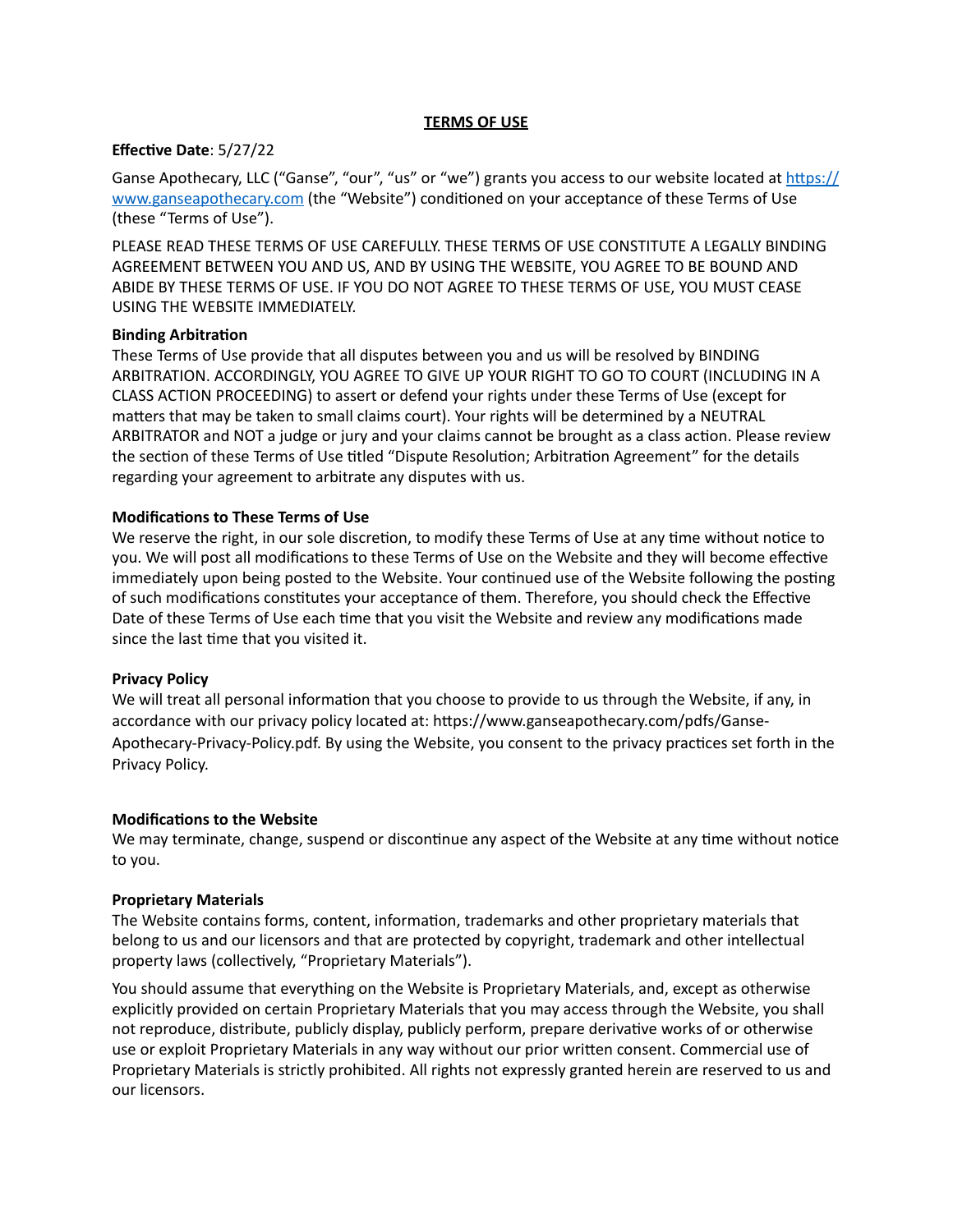### **TERMS OF USE**

### **Effective Date: 5/27/22**

Ganse Apothecary, LLC ("Ganse", "our", "us" or "we") grants you access to our website located at https:// [www.ganseapothecary.com](https://www.ganseapothecary.com) (the "Website") conditioned on your acceptance of these Terms of Use (these "Terms of Use").

PLEASE READ THESE TERMS OF USE CAREFULLY. THESE TERMS OF USE CONSTITUTE A LEGALLY BINDING AGREEMENT BETWEEN YOU AND US, AND BY USING THE WEBSITE, YOU AGREE TO BE BOUND AND ABIDE BY THESE TERMS OF USE. IF YOU DO NOT AGREE TO THESE TERMS OF USE, YOU MUST CEASE USING THE WEBSITE IMMEDIATELY.

### **Binding Arbitration**

These Terms of Use provide that all disputes between you and us will be resolved by BINDING ARBITRATION. ACCORDINGLY, YOU AGREE TO GIVE UP YOUR RIGHT TO GO TO COURT (INCLUDING IN A CLASS ACTION PROCEEDING) to assert or defend your rights under these Terms of Use (except for matters that may be taken to small claims court). Your rights will be determined by a NEUTRAL ARBITRATOR and NOT a judge or jury and your claims cannot be brought as a class action. Please review the section of these Terms of Use titled "Dispute Resolution; Arbitration Agreement" for the details regarding your agreement to arbitrate any disputes with us.

### **Modifications to These Terms of Use**

We reserve the right, in our sole discretion, to modify these Terms of Use at any time without notice to you. We will post all modifications to these Terms of Use on the Website and they will become effective immediately upon being posted to the Website. Your continued use of the Website following the posting of such modifications constitutes your acceptance of them. Therefore, you should check the Effective Date of these Terms of Use each time that you visit the Website and review any modifications made since the last time that you visited it.

### **Privacy Policy**

We will treat all personal information that you choose to provide to us through the Website, if any, in accordance with our privacy policy located at: https://www.ganseapothecary.com/pdfs/Ganse-Apothecary-Privacy-Policy.pdf. By using the Website, you consent to the privacy practices set forth in the Privacy Policy. 

### **Modifications to the Website**

We may terminate, change, suspend or discontinue any aspect of the Website at any time without notice to you.

### **Proprietary Materials**

The Website contains forms, content, information, trademarks and other proprietary materials that belong to us and our licensors and that are protected by copyright, trademark and other intellectual property laws (collectively, "Proprietary Materials").

You should assume that everything on the Website is Proprietary Materials, and, except as otherwise explicitly provided on certain Proprietary Materials that you may access through the Website, you shall not reproduce, distribute, publicly display, publicly perform, prepare derivative works of or otherwise use or exploit Proprietary Materials in any way without our prior written consent. Commercial use of Proprietary Materials is strictly prohibited. All rights not expressly granted herein are reserved to us and our licensors.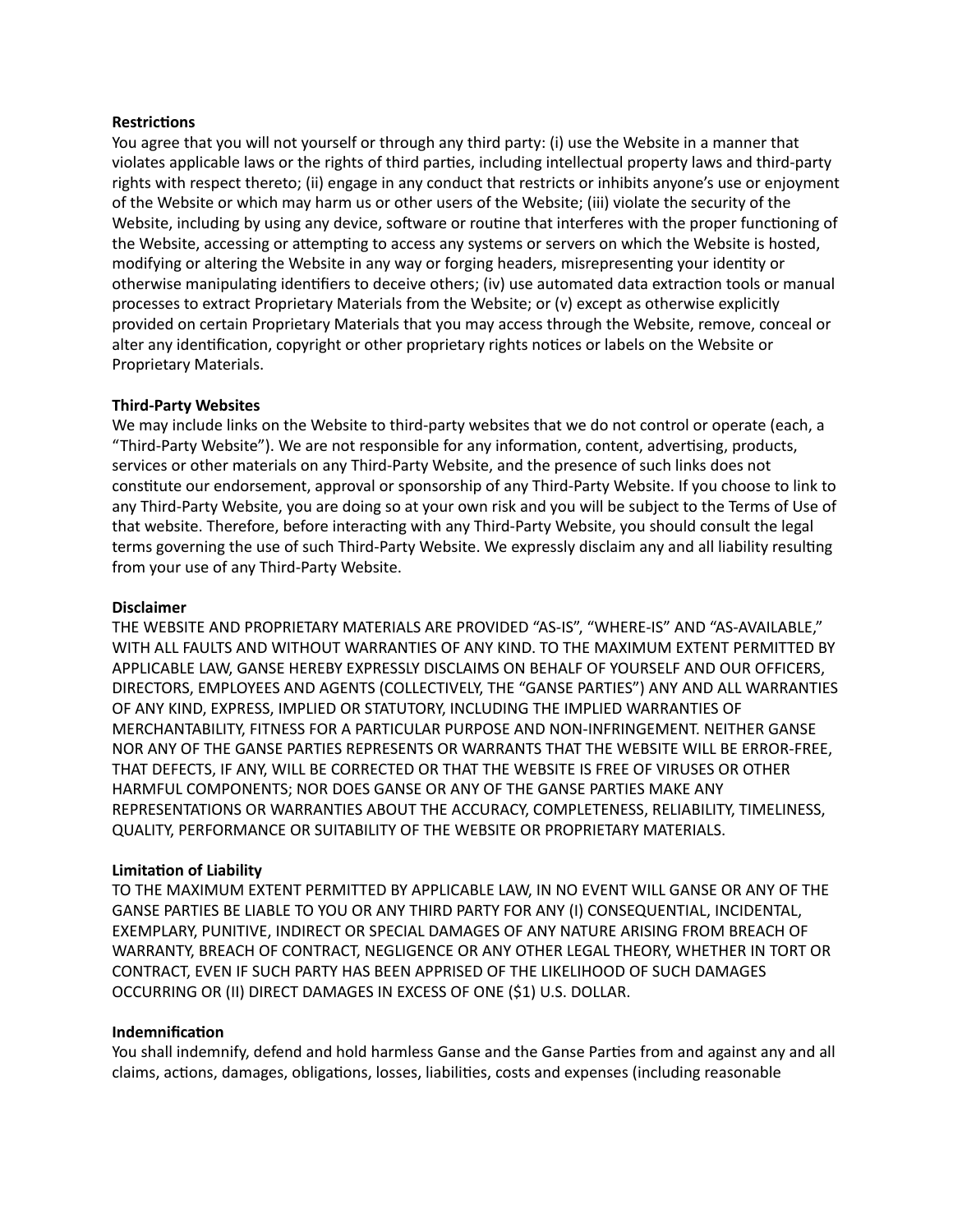### **Restrictions**

You agree that you will not yourself or through any third party: (i) use the Website in a manner that violates applicable laws or the rights of third parties, including intellectual property laws and third-party rights with respect thereto; (ii) engage in any conduct that restricts or inhibits anyone's use or enjoyment of the Website or which may harm us or other users of the Website; (iii) violate the security of the Website, including by using any device, software or routine that interferes with the proper functioning of the Website, accessing or attempting to access any systems or servers on which the Website is hosted, modifying or altering the Website in any way or forging headers, misrepresenting your identity or otherwise manipulating identifiers to deceive others; (iv) use automated data extraction tools or manual processes to extract Proprietary Materials from the Website; or (v) except as otherwise explicitly provided on certain Proprietary Materials that you may access through the Website, remove, conceal or alter any identification, copyright or other proprietary rights notices or labels on the Website or Proprietary Materials. 

# **Third-Party Websites**

We may include links on the Website to third-party websites that we do not control or operate (each, a "Third-Party Website"). We are not responsible for any information, content, advertising, products, services or other materials on any Third-Party Website, and the presence of such links does not constitute our endorsement, approval or sponsorship of any Third-Party Website. If you choose to link to any Third-Party Website, you are doing so at your own risk and you will be subject to the Terms of Use of that website. Therefore, before interacting with any Third-Party Website, you should consult the legal terms governing the use of such Third-Party Website. We expressly disclaim any and all liability resulting from your use of any Third-Party Website.

### **Disclaimer**

THE WEBSITE AND PROPRIETARY MATERIALS ARE PROVIDED "AS-IS", "WHERE-IS" AND "AS-AVAILABLE," WITH ALL FAULTS AND WITHOUT WARRANTIES OF ANY KIND. TO THE MAXIMUM EXTENT PERMITTED BY APPLICABLE LAW, GANSE HEREBY EXPRESSLY DISCLAIMS ON BEHALF OF YOURSELF AND OUR OFFICERS, DIRECTORS, EMPLOYEES AND AGENTS (COLLECTIVELY, THE "GANSE PARTIES") ANY AND ALL WARRANTIES OF ANY KIND, EXPRESS, IMPLIED OR STATUTORY, INCLUDING THE IMPLIED WARRANTIES OF MERCHANTABILITY, FITNESS FOR A PARTICULAR PURPOSE AND NON-INFRINGEMENT. NEITHER GANSE NOR ANY OF THE GANSE PARTIES REPRESENTS OR WARRANTS THAT THE WEBSITE WILL BE ERROR-FREE, THAT DEFECTS, IF ANY, WILL BE CORRECTED OR THAT THE WEBSITE IS FREE OF VIRUSES OR OTHER HARMFUL COMPONENTS; NOR DOES GANSE OR ANY OF THE GANSE PARTIES MAKE ANY REPRESENTATIONS OR WARRANTIES ABOUT THE ACCURACY, COMPLETENESS, RELIABILITY, TIMELINESS, QUALITY, PERFORMANCE OR SUITABILITY OF THE WEBSITE OR PROPRIETARY MATERIALS.

### **Limitation of Liability**

TO THE MAXIMUM EXTENT PERMITTED BY APPLICABLE LAW, IN NO EVENT WILL GANSE OR ANY OF THE GANSE PARTIES BE LIABLE TO YOU OR ANY THIRD PARTY FOR ANY (I) CONSEQUENTIAL, INCIDENTAL, EXEMPLARY, PUNITIVE, INDIRECT OR SPECIAL DAMAGES OF ANY NATURE ARISING FROM BREACH OF WARRANTY, BREACH OF CONTRACT, NEGLIGENCE OR ANY OTHER LEGAL THEORY, WHETHER IN TORT OR CONTRACT, EVEN IF SUCH PARTY HAS BEEN APPRISED OF THE LIKELIHOOD OF SUCH DAMAGES OCCURRING OR (II) DIRECT DAMAGES IN EXCESS OF ONE (\$1) U.S. DOLLAR.

### **Indemnification**

You shall indemnify, defend and hold harmless Ganse and the Ganse Parties from and against any and all claims, actions, damages, obligations, losses, liabilities, costs and expenses (including reasonable